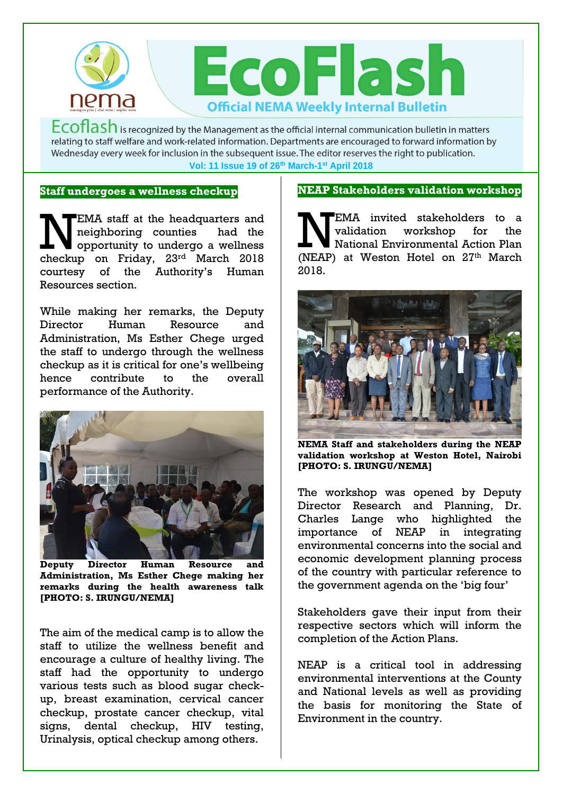

 $Ecoflash$  is recognized by the Management as the official internal communication bulletin in matters relating to staff welfare and work-related information. Departments are encouraged to forward information by Wednesday every week for inclusion in the subsequent issue. The editor reserves the right to publication. **Vol: 11 Issue 19 of 26th March-1 st April 2018**

## **Staff undergoes a wellness checkup**

EMA staff at the headquarters and neighboring counties had the EMA staff at the headquarters and<br>
neighboring counties had the<br>
opportunity to undergo a wellness<br>
checking on Friday, 22rd March 2018 checkup on Friday, 23rd March 2018 courtesy of the Authority's Human Resources section.

While making her remarks, the Deputy Director Human Resource and Administration, Ms Esther Chege urged the staff to undergo through the wellness checkup as it is critical for one's wellbeing hence contribute to the overall performance of the Authority.



**Deputy Director Human Resource and Administration, Ms Esther Chege making her remarks during the health awareness talk [PHOTO: S. IRUNGU/NEMA]**

The aim of the medical camp is to allow the staff to utilize the wellness benefit and encourage a culture of healthy living. The staff had the opportunity to undergo various tests such as blood sugar checkup, breast examination, cervical cancer checkup, prostate cancer checkup, vital signs, dental checkup, HIV testing, Urinalysis, optical checkup among others.

## **NEAP Stakeholders validation workshop**

EMA invited stakeholders to a validation workshop for the National Environmental Action Plan (NEAP) at Weston Hotel on  $27<sup>th</sup>$  March 2018.



**NEMA Staff and stakeholders during the NEAP validation workshop at Weston Hotel, Nairobi [PHOTO: S. IRUNGU/NEMA]**

The workshop was opened by Deputy Director Research and Planning, Dr. Charles Lange who highlighted the importance of NEAP in integrating environmental concerns into the social and economic development planning process of the country with particular reference to the government agenda on the 'big four'

Stakeholders gave their input from their respective sectors which will inform the completion of the Action Plans.

NEAP is a critical tool in addressing environmental interventions at the County and National levels as well as providing the basis for monitoring the State of Environment in the country.